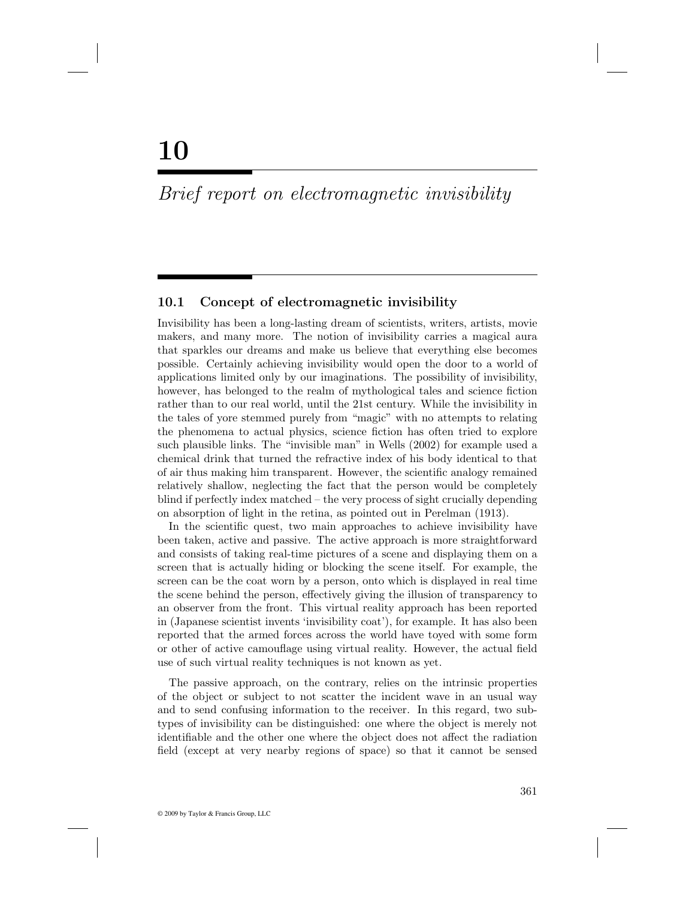# Brief report on electromagnetic invisibility

### **10.1 Concept of electromagnetic invisibility**

Invisibility has been a long-lasting dream of scientists, writers, artists, movie makers, and many more. The notion of invisibility carries a magical aura that sparkles our dreams and make us believe that everything else becomes possible. Certainly achieving invisibility would open the door to a world of applications limited only by our imaginations. The possibility of invisibility, however, has belonged to the realm of mythological tales and science fiction rather than to our real world, until the 21st century. While the invisibility in the tales of yore stemmed purely from "magic" with no attempts to relating the phenomena to actual physics, science fiction has often tried to explore such plausible links. The "invisible man" in Wells (2002) for example used a chemical drink that turned the refractive index of his body identical to that of air thus making him transparent. However, the scientific analogy remained relatively shallow, neglecting the fact that the person would be completely blind if perfectly index matched – the very process of sight crucially depending on absorption of light in the retina, as pointed out in Perelman (1913).

In the scientific quest, two main approaches to achieve invisibility have been taken, active and passive. The active approach is more straightforward and consists of taking real-time pictures of a scene and displaying them on a screen that is actually hiding or blocking the scene itself. For example, the screen can be the coat worn by a person, onto which is displayed in real time the scene behind the person, effectively giving the illusion of transparency to an observer from the front. This virtual reality approach has been reported in (Japanese scientist invents 'invisibility coat'), for example. It has also been reported that the armed forces across the world have toyed with some form or other of active camouflage using virtual reality. However, the actual field use of such virtual reality techniques is not known as yet.

The passive approach, on the contrary, relies on the intrinsic properties of the object or subject to not scatter the incident wave in an usual way and to send confusing information to the receiver. In this regard, two subtypes of invisibility can be distinguished: one where the object is merely not identifiable and the other one where the object does not affect the radiation field (except at very nearby regions of space) so that it cannot be sensed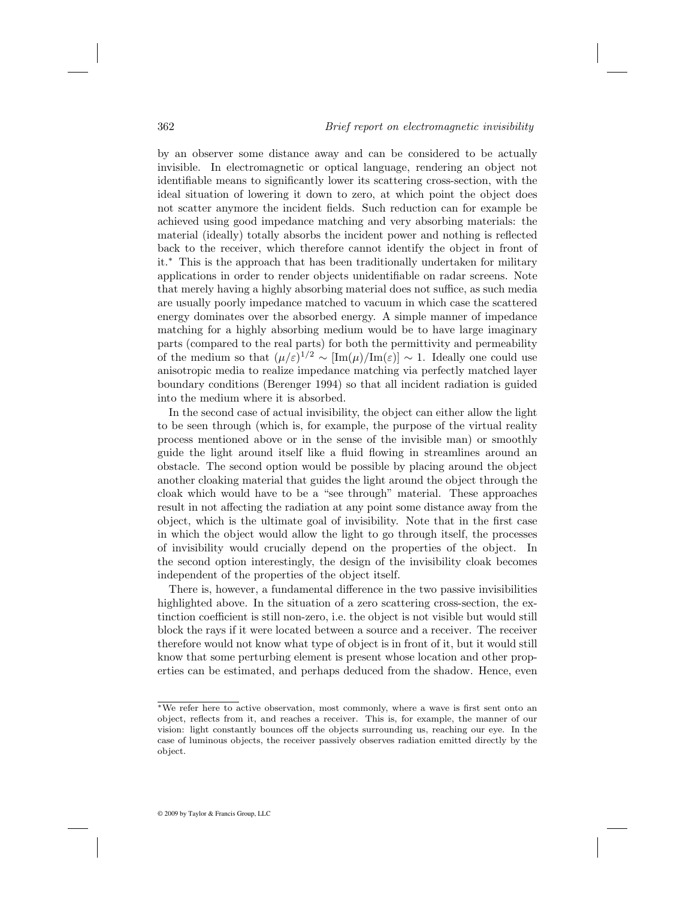by an observer some distance away and can be considered to be actually invisible. In electromagnetic or optical language, rendering an object not identifiable means to significantly lower its scattering cross-section, with the ideal situation of lowering it down to zero, at which point the object does not scatter anymore the incident fields. Such reduction can for example be achieved using good impedance matching and very absorbing materials: the material (ideally) totally absorbs the incident power and nothing is reflected back to the receiver, which therefore cannot identify the object in front of it.<sup>∗</sup> This is the approach that has been traditionally undertaken for military applications in order to render objects unidentifiable on radar screens. Note that merely having a highly absorbing material does not suffice, as such media are usually poorly impedance matched to vacuum in which case the scattered energy dominates over the absorbed energy. A simple manner of impedance matching for a highly absorbing medium would be to have large imaginary parts (compared to the real parts) for both the permittivity and permeability of the medium so that  $(\mu/\varepsilon)^{1/2} \sim [\text{Im}(\mu)/\text{Im}(\varepsilon)] \sim 1$ . Ideally one could use anisotropic media to realize impedance matching via perfectly matched layer boundary conditions (Berenger 1994) so that all incident radiation is guided into the medium where it is absorbed.

In the second case of actual invisibility, the object can either allow the light to be seen through (which is, for example, the purpose of the virtual reality process mentioned above or in the sense of the invisible man) or smoothly guide the light around itself like a fluid flowing in streamlines around an obstacle. The second option would be possible by placing around the object another cloaking material that guides the light around the object through the cloak which would have to be a "see through" material. These approaches result in not affecting the radiation at any point some distance away from the object, which is the ultimate goal of invisibility. Note that in the first case in which the object would allow the light to go through itself, the processes of invisibility would crucially depend on the properties of the object. In the second option interestingly, the design of the invisibility cloak becomes independent of the properties of the object itself.

There is, however, a fundamental difference in the two passive invisibilities highlighted above. In the situation of a zero scattering cross-section, the extinction coefficient is still non-zero, i.e. the object is not visible but would still block the rays if it were located between a source and a receiver. The receiver therefore would not know what type of object is in front of it, but it would still know that some perturbing element is present whose location and other properties can be estimated, and perhaps deduced from the shadow. Hence, even

<sup>∗</sup>We refer here to active observation, most commonly, where a wave is first sent onto an object, reflects from it, and reaches a receiver. This is, for example, the manner of our vision: light constantly bounces off the objects surrounding us, reaching our eye. In the case of luminous objects, the receiver passively observes radiation emitted directly by the object.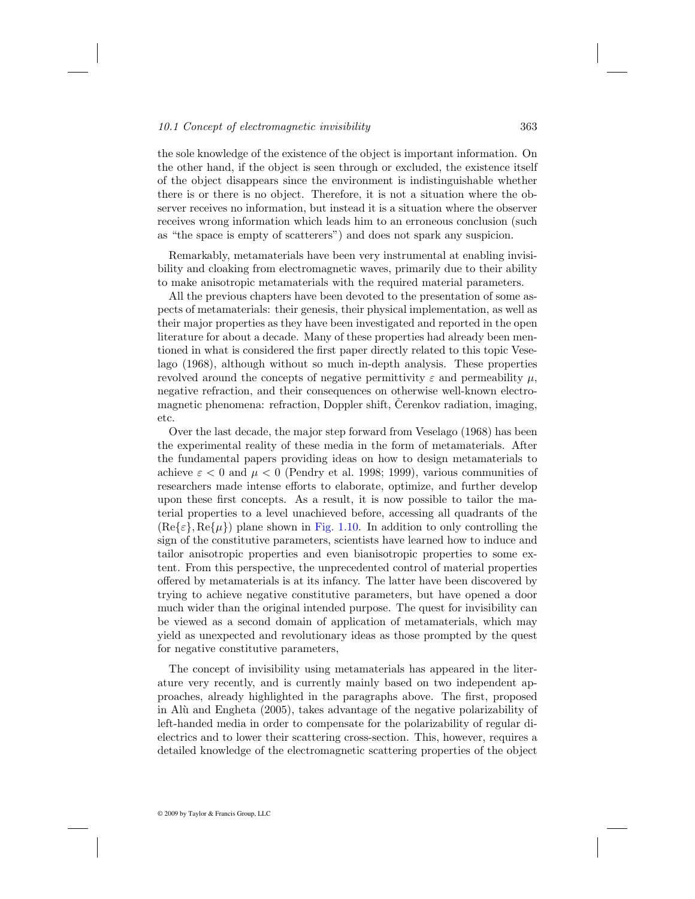the sole knowledge of the existence of the object is important information. On the other hand, if the object is seen through or excluded, the existence itself of the object disappears since the environment is indistinguishable whether there is or there is no object. Therefore, it is not a situation where the observer receives no information, but instead it is a situation where the observer receives wrong information which leads him to an erroneous conclusion (such as "the space is empty of scatterers") and does not spark any suspicion.

Remarkably, metamaterials have been very instrumental at enabling invisibility and cloaking from electromagnetic waves, primarily due to their ability to make anisotropic metamaterials with the required material parameters.

All the previous chapters have been devoted to the presentation of some aspects of metamaterials: their genesis, their physical implementation, as well as their major properties as they have been investigated and reported in the open literature for about a decade. Many of these properties had already been mentioned in what is considered the first paper directly related to this topic Veselago (1968), although without so much in-depth analysis. These properties revolved around the concepts of negative permittivity  $\varepsilon$  and permeability  $\mu$ , negative refraction, and their consequences on otherwise well-known electromagnetic phenomena: refraction, Doppler shift, Cerenkov radiation, imaging, etc.

Over the last decade, the major step forward from Veselago (1968) has been the experimental reality of these media in the form of metamaterials. After the fundamental papers providing ideas on how to design metamaterials to achieve  $\varepsilon$  < 0 and  $\mu$  < 0 (Pendry et al. 1998; 1999), various communities of researchers made intense efforts to elaborate, optimize, and further develop upon these first concepts. As a result, it is now possible to tailor the material properties to a level unachieved before, accessing all quadrants of the  $(Re\{\varepsilon\}, Re\{\mu\})$  plane shown in [Fig. 1.10.](#page-26-0) In addition to only controlling the sign of the constitutive parameters, scientists have learned how to induce and tailor anisotropic properties and even bianisotropic properties to some extent. From this perspective, the unprecedented control of material properties offered by metamaterials is at its infancy. The latter have been discovered by trying to achieve negative constitutive parameters, but have opened a door much wider than the original intended purpose. The quest for invisibility can be viewed as a second domain of application of metamaterials, which may yield as unexpected and revolutionary ideas as those prompted by the quest for negative constitutive parameters,

The concept of invisibility using metamaterials has appeared in the literature very recently, and is currently mainly based on two independent approaches, already highlighted in the paragraphs above. The first, proposed in Alù and Engheta (2005), takes advantage of the negative polarizability of left-handed media in order to compensate for the polarizability of regular dielectrics and to lower their scattering cross-section. This, however, requires a detailed knowledge of the electromagnetic scattering properties of the object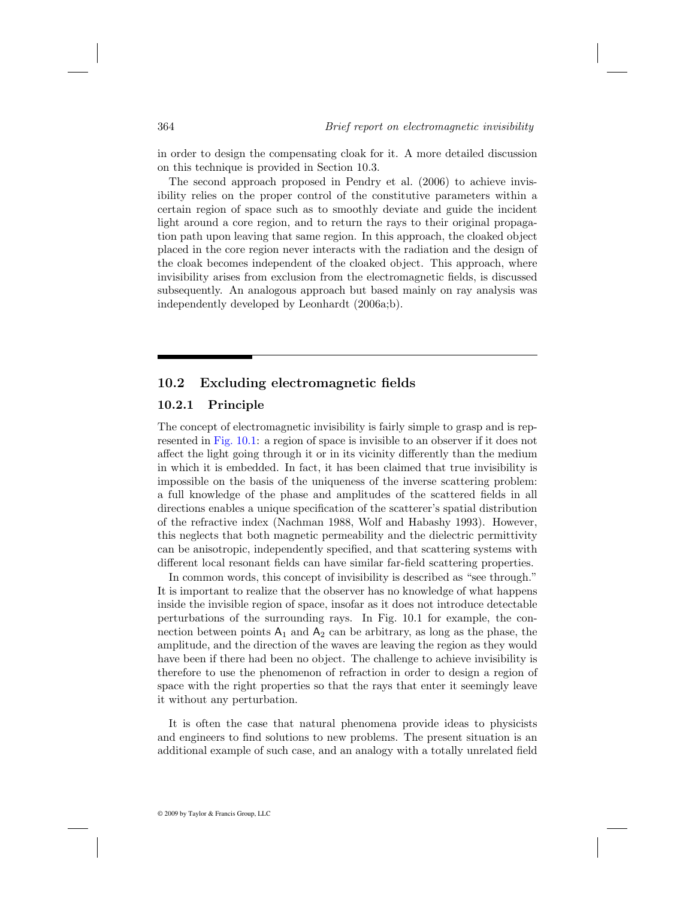in order to design the compensating cloak for it. A more detailed discussion on this technique is provided in Section 10.3.

The second approach proposed in Pendry et al. (2006) to achieve invisibility relies on the proper control of the constitutive parameters within a certain region of space such as to smoothly deviate and guide the incident light around a core region, and to return the rays to their original propagation path upon leaving that same region. In this approach, the cloaked object placed in the core region never interacts with the radiation and the design of the cloak becomes independent of the cloaked object. This approach, where invisibility arises from exclusion from the electromagnetic fields, is discussed subsequently. An analogous approach but based mainly on ray analysis was independently developed by Leonhardt (2006a;b).

## **10.2 Excluding electromagnetic fields**

#### **10.2.1 Principle**

The concept of electromagnetic invisibility is fairly simple to grasp and is represented in [Fig. 10.1:](#page-4-0) a region of space is invisible to an observer if it does not affect the light going through it or in its vicinity differently than the medium in which it is embedded. In fact, it has been claimed that true invisibility is impossible on the basis of the uniqueness of the inverse scattering problem: a full knowledge of the phase and amplitudes of the scattered fields in all directions enables a unique specification of the scatterer's spatial distribution of the refractive index (Nachman 1988, Wolf and Habashy 1993). However, this neglects that both magnetic permeability and the dielectric permittivity can be anisotropic, independently specified, and that scattering systems with different local resonant fields can have similar far-field scattering properties.

In common words, this concept of invisibility is described as "see through." It is important to realize that the observer has no knowledge of what happens inside the invisible region of space, insofar as it does not introduce detectable perturbations of the surrounding rays. In Fig. 10.1 for example, the connection between points  $A_1$  and  $A_2$  can be arbitrary, as long as the phase, the amplitude, and the direction of the waves are leaving the region as they would have been if there had been no object. The challenge to achieve invisibility is therefore to use the phenomenon of refraction in order to design a region of space with the right properties so that the rays that enter it seemingly leave it without any perturbation.

It is often the case that natural phenomena provide ideas to physicists and engineers to find solutions to new problems. The present situation is an additional example of such case, and an analogy with a totally unrelated field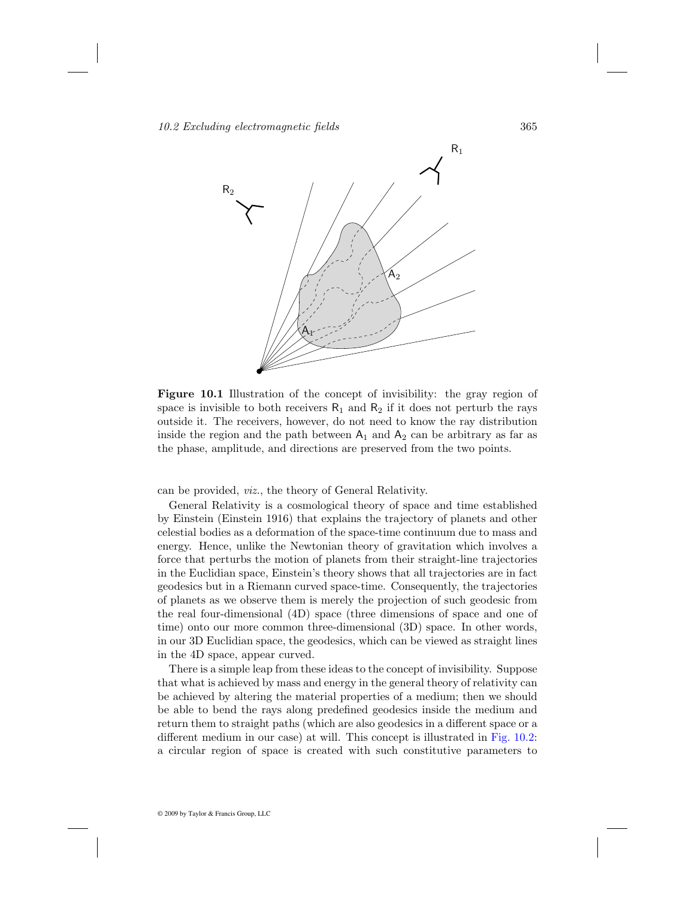<span id="page-4-0"></span>

**Figure 10.1** Illustration of the concept of invisibility: the gray region of space is invisible to both receivers  $R_1$  and  $R_2$  if it does not perturb the rays outside it. The receivers, however, do not need to know the ray distribution inside the region and the path between  $A_1$  and  $A_2$  can be arbitrary as far as the phase, amplitude, and directions are preserved from the two points.

can be provided, *viz.*, the theory of General Relativity.

General Relativity is a cosmological theory of space and time established by Einstein (Einstein 1916) that explains the trajectory of planets and other celestial bodies as a deformation of the space-time continuum due to mass and energy. Hence, unlike the Newtonian theory of gravitation which involves a force that perturbs the motion of planets from their straight-line trajectories in the Euclidian space, Einstein's theory shows that all trajectories are in fact geodesics but in a Riemann curved space-time. Consequently, the trajectories of planets as we observe them is merely the projection of such geodesic from the real four-dimensional (4D) space (three dimensions of space and one of time) onto our more common three-dimensional (3D) space. In other words, in our 3D Euclidian space, the geodesics, which can be viewed as straight lines in the 4D space, appear curved.

There is a simple leap from these ideas to the concept of invisibility. Suppose that what is achieved by mass and energy in the general theory of relativity can be achieved by altering the material properties of a medium; then we should be able to bend the rays along predefined geodesics inside the medium and return them to straight paths (which are also geodesics in a different space or a different medium in our case) at will. This concept is illustrated in [Fig. 10.2:](#page-5-0) a circular region of space is created with such constitutive parameters to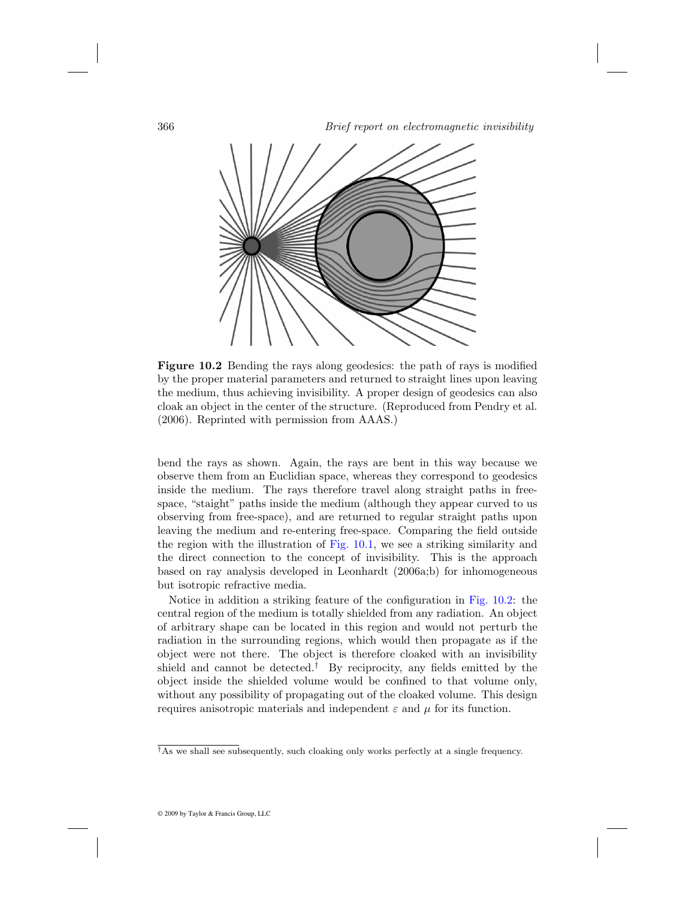<span id="page-5-0"></span>

**Figure 10.2** Bending the rays along geodesics: the path of rays is modified by the proper material parameters and returned to straight lines upon leaving the medium, thus achieving invisibility. A proper design of geodesics can also cloak an object in the center of the structure. (Reproduced from Pendry et al. (2006). Reprinted with permission from AAAS.)

bend the rays as shown. Again, the rays are bent in this way because we observe them from an Euclidian space, whereas they correspond to geodesics inside the medium. The rays therefore travel along straight paths in freespace, "staight" paths inside the medium (although they appear curved to us observing from free-space), and are returned to regular straight paths upon leaving the medium and re-entering free-space. Comparing the field outside the region with the illustration of [Fig. 10.1](#page-4-0), we see a striking similarity and the direct connection to the concept of invisibility. This is the approach based on ray analysis developed in Leonhardt (2006a;b) for inhomogeneous but isotropic refractive media.

Notice in addition a striking feature of the configuration in Fig. 10.2: the central region of the medium is totally shielded from any radiation. An object of arbitrary shape can be located in this region and would not perturb the radiation in the surrounding regions, which would then propagate as if the object were not there. The object is therefore cloaked with an invisibility shield and cannot be detected.<sup>†</sup> By reciprocity, any fields emitted by the object inside the shielded volume would be confined to that volume only, without any possibility of propagating out of the cloaked volume. This design requires anisotropic materials and independent  $ε$  and  $μ$  for its function.

<sup>†</sup>As we shall see subsequently, such cloaking only works perfectly at a single frequency.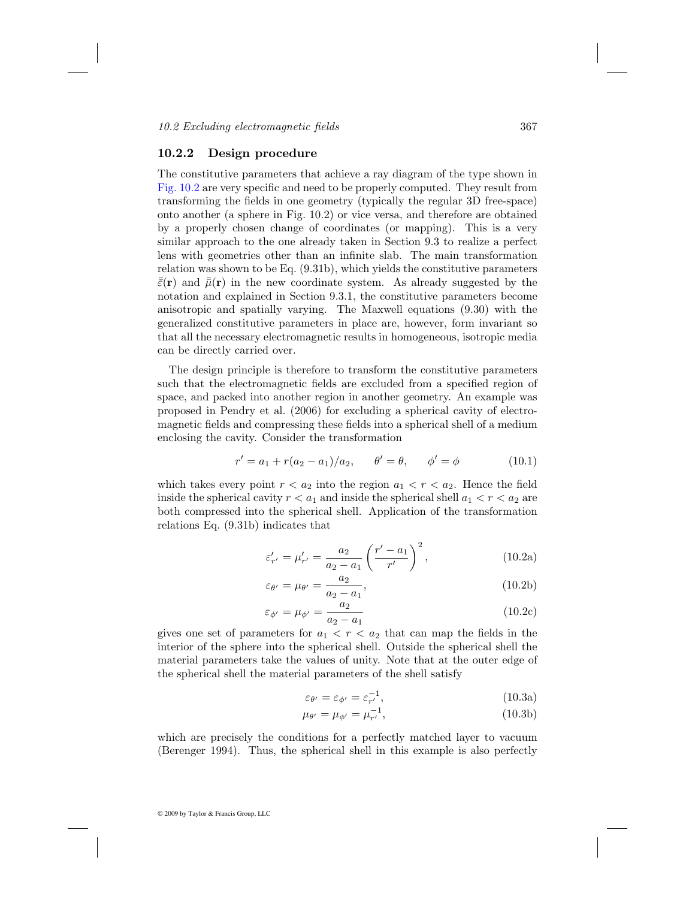#### **10.2.2 Design procedure**

The constitutive parameters that achieve a ray diagram of the type shown in [Fig. 10.2](#page-5-0) are very specific and need to be properly computed. They result from transforming the fields in one geometry (typically the regular 3D free-space) onto another (a sphere in Fig. 10.2) or vice versa, and therefore are obtained by a properly chosen change of coordinates (or mapping). This is a very similar approach to the one already taken in Section 9.3 to realize a perfect lens with geometries other than an infinite slab. The main transformation relation was shown to be Eq. (9.31b), which yields the constitutive parameters  $\bar{\bar{\varepsilon}}(\mathbf{r})$  and  $\bar{\bar{\mu}}(\mathbf{r})$  in the new coordinate system. As already suggested by the notation and explained in Section 9.3.1, the constitutive parameters become anisotropic and spatially varying. The Maxwell equations (9.30) with the generalized constitutive parameters in place are, however, form invariant so that all the necessary electromagnetic results in homogeneous, isotropic media can be directly carried over.

The design principle is therefore to transform the constitutive parameters such that the electromagnetic fields are excluded from a specified region of space, and packed into another region in another geometry. An example was proposed in Pendry et al. (2006) for excluding a spherical cavity of electromagnetic fields and compressing these fields into a spherical shell of a medium enclosing the cavity. Consider the transformation

$$
r' = a_1 + r(a_2 - a_1)/a_2, \qquad \theta' = \theta, \qquad \phi' = \phi \tag{10.1}
$$

which takes every point  $r < a_2$  into the region  $a_1 < r < a_2$ . Hence the field inside the spherical cavity  $r < a_1$  and inside the spherical shell  $a_1 < r < a_2$  are both compressed into the spherical shell. Application of the transformation relations Eq. (9.31b) indicates that

$$
\varepsilon'_{r'} = \mu'_{r'} = \frac{a_2}{a_2 - a_1} \left(\frac{r' - a_1}{r'}\right)^2, \tag{10.2a}
$$

$$
\varepsilon_{\theta'} = \mu_{\theta'} = \frac{a_2}{a_2 - a_1},\tag{10.2b}
$$

$$
\varepsilon_{\phi'} = \mu_{\phi'} = \frac{a_2}{a_2 - a_1} \tag{10.2c}
$$

gives one set of parameters for  $a_1 < r < a_2$  that can map the fields in the interior of the sphere into the spherical shell. Outside the spherical shell the material parameters take the values of unity. Note that at the outer edge of the spherical shell the material parameters of the shell satisfy

$$
\varepsilon_{\theta'} = \varepsilon_{\phi'} = \varepsilon_{r'}^{-1},\tag{10.3a}
$$

$$
\mu_{\theta'} = \mu_{\phi'} = \mu_{r'}^{-1},\tag{10.3b}
$$

which are precisely the conditions for a perfectly matched layer to vacuum (Berenger 1994). Thus, the spherical shell in this example is also perfectly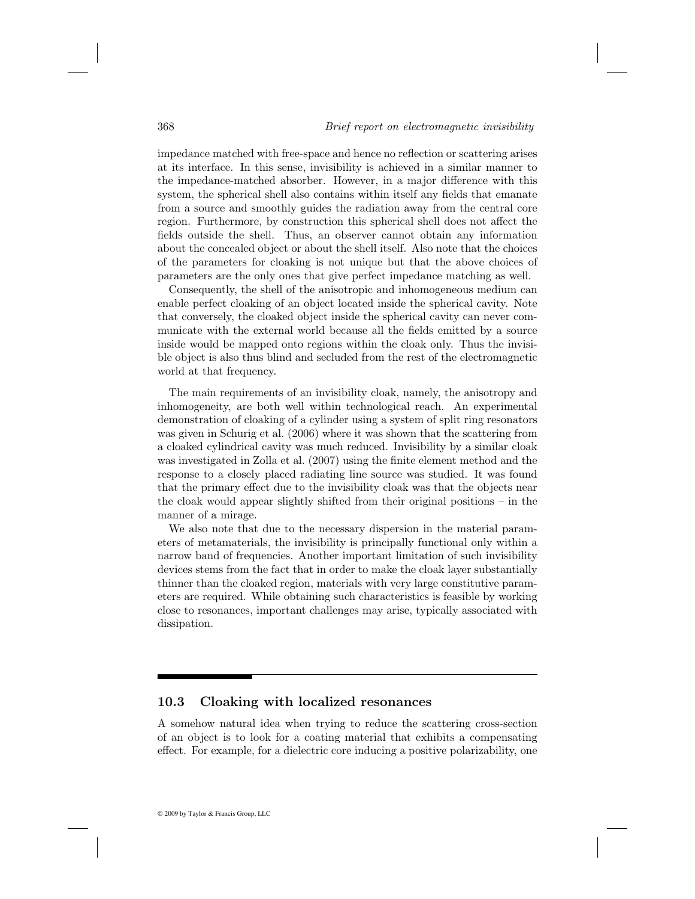impedance matched with free-space and hence no reflection or scattering arises at its interface. In this sense, invisibility is achieved in a similar manner to the impedance-matched absorber. However, in a major difference with this system, the spherical shell also contains within itself any fields that emanate from a source and smoothly guides the radiation away from the central core region. Furthermore, by construction this spherical shell does not affect the fields outside the shell. Thus, an observer cannot obtain any information about the concealed object or about the shell itself. Also note that the choices of the parameters for cloaking is not unique but that the above choices of parameters are the only ones that give perfect impedance matching as well.

Consequently, the shell of the anisotropic and inhomogeneous medium can enable perfect cloaking of an object located inside the spherical cavity. Note that conversely, the cloaked object inside the spherical cavity can never communicate with the external world because all the fields emitted by a source inside would be mapped onto regions within the cloak only. Thus the invisible object is also thus blind and secluded from the rest of the electromagnetic world at that frequency.

The main requirements of an invisibility cloak, namely, the anisotropy and inhomogeneity, are both well within technological reach. An experimental demonstration of cloaking of a cylinder using a system of split ring resonators was given in Schurig et al. (2006) where it was shown that the scattering from a cloaked cylindrical cavity was much reduced. Invisibility by a similar cloak was investigated in Zolla et al. (2007) using the finite element method and the response to a closely placed radiating line source was studied. It was found that the primary effect due to the invisibility cloak was that the objects near the cloak would appear slightly shifted from their original positions – in the manner of a mirage.

We also note that due to the necessary dispersion in the material parameters of metamaterials, the invisibility is principally functional only within a narrow band of frequencies. Another important limitation of such invisibility devices stems from the fact that in order to make the cloak layer substantially thinner than the cloaked region, materials with very large constitutive parameters are required. While obtaining such characteristics is feasible by working close to resonances, important challenges may arise, typically associated with dissipation.

#### **10.3 Cloaking with localized resonances**

A somehow natural idea when trying to reduce the scattering cross-section of an object is to look for a coating material that exhibits a compensating effect. For example, for a dielectric core inducing a positive polarizability, one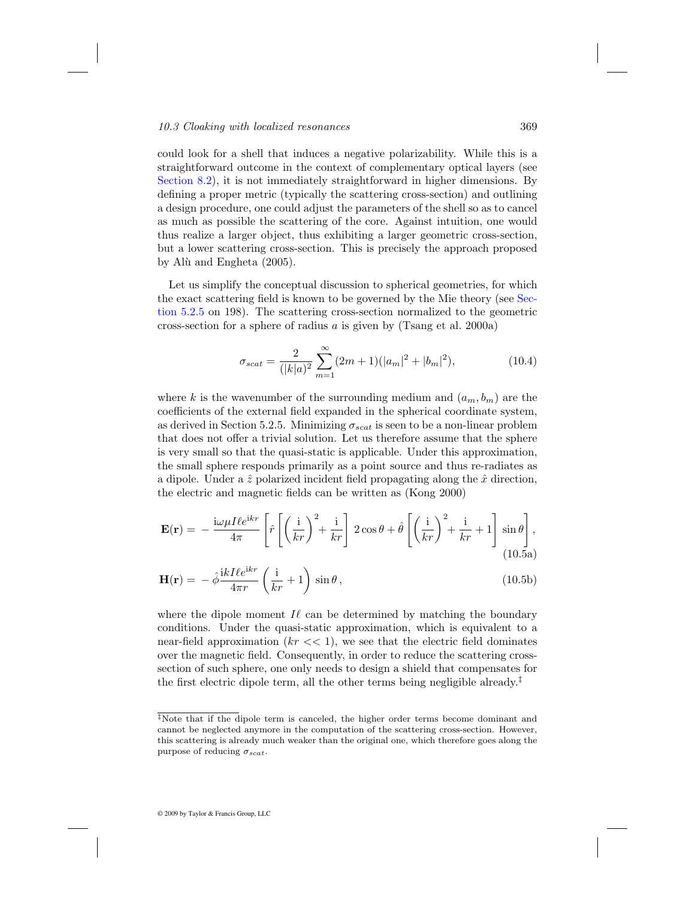could look for a shell that induces a negative polarizability. While this is a straightforward outcome in the context of complementary optical layers (see [Section 8.2](#page-5-0)), it is not immediately straightforward in higher dimensions. By defining a proper metric (typically the scattering cross-section) and outlining a design procedure, one could adjust the parameters of the shell so as to cancel as much as possible the scattering of the core. Against intuition, one would thus realize a larger object, thus exhibiting a larger geometric cross-section, but a lower scattering cross-section. This is precisely the approach proposed by Alù and Engheta  $(2005)$ .

Let us simplify the conceptual discussion to spherical geometries, for which the exact scattering field is known to be governed by the Mie theory (see [Sec](#page-23-0)[tion 5.2.5](#page-23-0) on 198). The scattering cross-section normalized to the geometric cross-section for a sphere of radius  $a$  is given by (Tsang et al. 2000a)

$$
\sigma_{scat} = \frac{2}{(|k|a)^2} \sum_{m=1}^{\infty} (2m+1)(|a_m|^2 + |b_m|^2), \tag{10.4}
$$

where k is the wavenumber of the surrounding medium and  $(a_m, b_m)$  are the coefficients of the external field expanded in the spherical coordinate system, as derived in Section 5.2.5. Minimizing  $\sigma_{scat}$  is seen to be a non-linear problem that does not offer a trivial solution. Let us therefore assume that the sphere is very small so that the quasi-static is applicable. Under this approximation, the small sphere responds primarily as a point source and thus re-radiates as a dipole. Under a  $\hat{z}$  polarized incident field propagating along the  $\hat{x}$  direction, the electric and magnetic fields can be written as (Kong 2000)

$$
\mathbf{E}(\mathbf{r}) = -\frac{\mathrm{i}\omega\mu I \ell e^{\mathrm{i}kr}}{4\pi} \left[ \hat{r} \left[ \left( \frac{\mathrm{i}}{kr} \right)^2 + \frac{\mathrm{i}}{kr} \right] 2\cos\theta + \hat{\theta} \left[ \left( \frac{\mathrm{i}}{kr} \right)^2 + \frac{\mathrm{i}}{kr} + 1 \right] \sin\theta \right],\tag{10.5a}
$$

$$
\mathbf{H}(\mathbf{r}) = -\hat{\phi} \frac{i k I \ell e^{ikr}}{4\pi r} \left(\frac{i}{kr} + 1\right) \sin \theta, \qquad (10.5b)
$$

where the dipole moment  $I\ell$  can be determined by matching the boundary conditions. Under the quasi-static approximation, which is equivalent to a near-field approximation  $(kr \ll 1)$ , we see that the electric field dominates over the magnetic field. Consequently, in order to reduce the scattering crosssection of such sphere, one only needs to design a shield that compensates for the first electric dipole term, all the other terms being negligible already.‡

<sup>‡</sup>Note that if the dipole term is canceled, the higher order terms become dominant and cannot be neglected anymore in the computation of the scattering cross-section. However, this scattering is already much weaker than the original one, which therefore goes along the purpose of reducing  $\sigma_{scat}$ .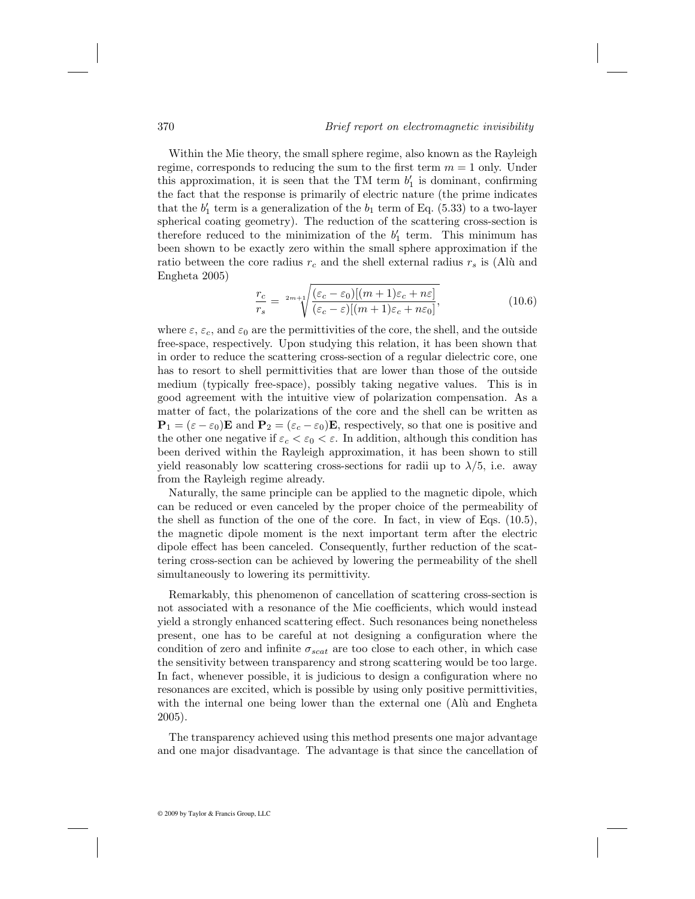Within the Mie theory, the small sphere regime, also known as the Rayleigh regime, corresponds to reducing the sum to the first term  $m = 1$  only. Under this approximation, it is seen that the TM term  $b'_1$  is dominant, confirming the fact that the response is primarily of electric nature (the prime indicates that the  $b'_1$  term is a generalization of the  $b_1$  term of Eq. (5.33) to a two-layer spherical coating geometry). The reduction of the scattering cross-section is therefore reduced to the minimization of the  $b'_1$  term. This minimum has been shown to be exactly zero within the small sphere approximation if the ratio between the core radius  $r_c$  and the shell external radius  $r_s$  is (Alù and Engheta 2005)

$$
\frac{r_c}{r_s} = \sqrt[2m+1]{\frac{(\varepsilon_c - \varepsilon_0)[(m+1)\varepsilon_c + n\varepsilon]}{(\varepsilon_c - \varepsilon)[(m+1)\varepsilon_c + n\varepsilon_0]}},\tag{10.6}
$$

where  $\varepsilon$ ,  $\varepsilon_c$ , and  $\varepsilon_0$  are the permittivities of the core, the shell, and the outside free-space, respectively. Upon studying this relation, it has been shown that in order to reduce the scattering cross-section of a regular dielectric core, one has to resort to shell permittivities that are lower than those of the outside medium (typically free-space), possibly taking negative values. This is in good agreement with the intuitive view of polarization compensation. As a matter of fact, the polarizations of the core and the shell can be written as  $\mathbf{P}_1 = (\varepsilon - \varepsilon_0)\mathbf{E}$  and  $\mathbf{P}_2 = (\varepsilon_c - \varepsilon_0)\mathbf{E}$ , respectively, so that one is positive and the other one negative if  $\varepsilon_c < \varepsilon_0 < \varepsilon$ . In addition, although this condition has been derived within the Rayleigh approximation, it has been shown to still yield reasonably low scattering cross-sections for radii up to  $\lambda/5$ , i.e. away from the Rayleigh regime already.

Naturally, the same principle can be applied to the magnetic dipole, which can be reduced or even canceled by the proper choice of the permeability of the shell as function of the one of the core. In fact, in view of Eqs. (10.5), the magnetic dipole moment is the next important term after the electric dipole effect has been canceled. Consequently, further reduction of the scattering cross-section can be achieved by lowering the permeability of the shell simultaneously to lowering its permittivity.

Remarkably, this phenomenon of cancellation of scattering cross-section is not associated with a resonance of the Mie coefficients, which would instead yield a strongly enhanced scattering effect. Such resonances being nonetheless present, one has to be careful at not designing a configuration where the condition of zero and infinite  $\sigma_{scat}$  are too close to each other, in which case the sensitivity between transparency and strong scattering would be too large. In fact, whenever possible, it is judicious to design a configuration where no resonances are excited, which is possible by using only positive permittivities, with the internal one being lower than the external one (Alù and Engheta 2005).

The transparency achieved using this method presents one major advantage and one major disadvantage. The advantage is that since the cancellation of